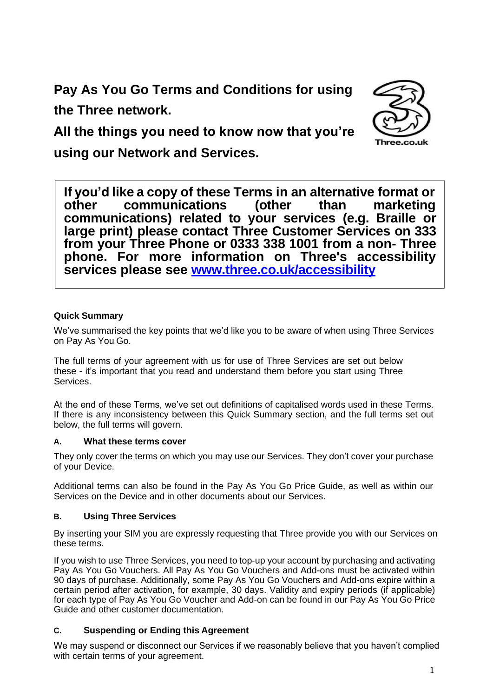**Pay As You Go Terms and Conditions for using the Three network.**



**All the things you need to know now that you're using our Network and Services.**

**If you'd like a copy of these Terms in an alternative format or other communications) related to your services (e.g. Braille or large print) please contact Three Customer Services on 333 from your Three Phone or 0333 338 1001 from a non- Three phone. For more information on Three's accessibility services please see [www.three.co.uk/accessibility](http://www.three.co.uk/accessibility) communications** 

## **Quick Summary**

We've summarised the key points that we'd like you to be aware of when using Three Services on Pay As You Go.

The full terms of your agreement with us for use of Three Services are set out below these - it's important that you read and understand them before you start using Three Services.

At the end of these Terms, we've set out definitions of capitalised words used in these Terms. If there is any inconsistency between this Quick Summary section, and the full terms set out below, the full terms will govern.

## **A. What these terms cover**

They only cover the terms on which you may use our Services. They don't cover your purchase of your Device.

Additional terms can also be found in the Pay As You Go Price Guide, as well as within our Services on the Device and in other documents about our Services.

## **B. Using Three Services**

By inserting your SIM you are expressly requesting that Three provide you with our Services on these terms.

If you wish to use Three Services, you need to top-up your account by purchasing and activating Pay As You Go Vouchers. All Pay As You Go Vouchers and Add-ons must be activated within 90 days of purchase. Additionally, some Pay As You Go Vouchers and Add-ons expire within a certain period after activation, for example, 30 days. Validity and expiry periods (if applicable) for each type of Pay As You Go Voucher and Add-on can be found in our Pay As You Go Price Guide and other customer documentation.

## **C. Suspending or Ending this Agreement**

We may suspend or disconnect our Services if we reasonably believe that you haven't complied with certain terms of your agreement.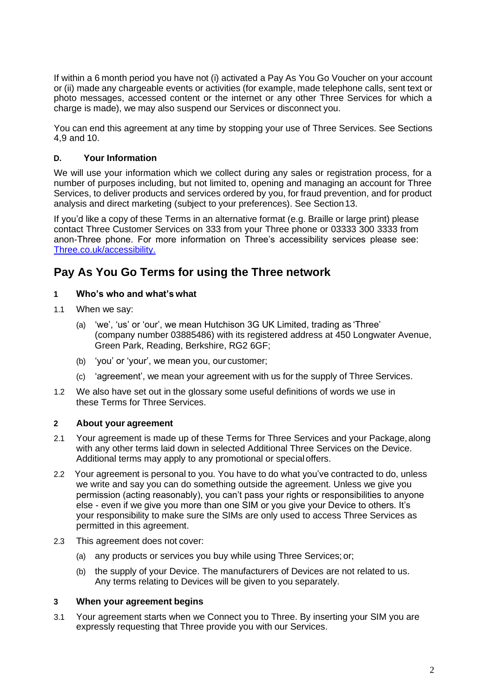If within a 6 month period you have not (i) activated a Pay As You Go Voucher on your account or (ii) made any chargeable events or activities (for example, made telephone calls, sent text or photo messages, accessed content or the internet or any other Three Services for which a charge is made), we may also suspend our Services or disconnect you.

You can end this agreement at any time by stopping your use of Three Services. See Sections 4,9 and 10.

## **D. Your Information**

We will use your information which we collect during any sales or registration process, for a number of purposes including, but not limited to, opening and managing an account for Three Services, to deliver products and services ordered by you, for fraud prevention, and for product analysis and direct marketing (subject to your preferences). See Section13.

If you'd like a copy of these Terms in an alternative format (e.g. Braille or large print) please contact Three Customer Services on 333 from your Three phone or 03333 300 3333 from anon-Three phone. For more information on Three's accessibility services please see: [Three.co.uk/accessibility.](http://three.co.uk/accessibility)

# **Pay As You Go Terms for using the Three network**

## **1 Who's who and what's what**

- 1.1 When we say:
	- (a) 'we', 'us' or 'our', we mean Hutchison 3G UK Limited, trading as 'Three' (company number 03885486) with its registered address at 450 Longwater Avenue, Green Park, Reading, Berkshire, RG2 6GF;
	- (b) 'you' or 'your', we mean you, our customer;
	- (c) 'agreement', we mean your agreement with us for the supply of Three Services.
- 1.2 We also have set out in the glossary some useful definitions of words we use in these Terms for Three Services.

## **2 About your agreement**

- 2.1 Your agreement is made up of these Terms for Three Services and your Package, along with any other terms laid down in selected Additional Three Services on the Device. Additional terms may apply to any promotional or specialoffers.
- 2.2 Your agreement is personal to you. You have to do what you've contracted to do, unless we write and say you can do something outside the agreement. Unless we give you permission (acting reasonably), you can't pass your rights or responsibilities to anyone else - even if we give you more than one SIM or you give your Device to others. It's your responsibility to make sure the SIMs are only used to access Three Services as permitted in this agreement.
- 2.3 This agreement does not cover:
	- (a) any products or services you buy while using Three Services; or;
	- (b) the supply of your Device. The manufacturers of Devices are not related to us. Any terms relating to Devices will be given to you separately.

#### **3 When your agreement begins**

3.1 Your agreement starts when we Connect you to Three. By inserting your SIM you are expressly requesting that Three provide you with our Services.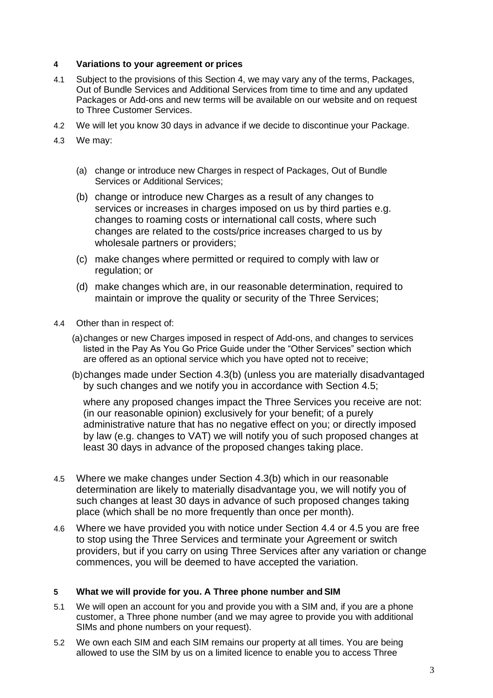#### **4 Variations to your agreement or prices**

- 4.1 Subject to the provisions of this Section 4, we may vary any of the terms, Packages, Out of Bundle Services and Additional Services from time to time and any updated Packages or Add-ons and new terms will be available on our website and on request to Three Customer Services.
- 4.2 We will let you know 30 days in advance if we decide to discontinue your Package.
- 4.3 We may:
	- (a) change or introduce new Charges in respect of Packages, Out of Bundle Services or Additional Services;
	- (b) change or introduce new Charges as a result of any changes to services or increases in charges imposed on us by third parties e.g. changes to roaming costs or international call costs, where such changes are related to the costs/price increases charged to us by wholesale partners or providers;
	- (c) make changes where permitted or required to comply with law or regulation; or
	- (d) make changes which are, in our reasonable determination, required to maintain or improve the quality or security of the Three Services;
- 4.4 Other than in respect of:
	- (a)changes or new Charges imposed in respect of Add-ons, and changes to services listed in the Pay As You Go Price Guide under the "Other Services" section which are offered as an optional service which you have opted not to receive;
	- (b)changes made under Section 4.3(b) (unless you are materially disadvantaged by such changes and we notify you in accordance with Section 4.5;

where any proposed changes impact the Three Services you receive are not: (in our reasonable opinion) exclusively for your benefit; of a purely administrative nature that has no negative effect on you; or directly imposed by law (e.g. changes to VAT) we will notify you of such proposed changes at least 30 days in advance of the proposed changes taking place.

- 4.5 Where we make changes under Section 4.3(b) which in our reasonable determination are likely to materially disadvantage you, we will notify you of such changes at least 30 days in advance of such proposed changes taking place (which shall be no more frequently than once per month).
- 4.6 Where we have provided you with notice under Section 4.4 or 4.5 you are free to stop using the Three Services and terminate your Agreement or switch providers, but if you carry on using Three Services after any variation or change commences, you will be deemed to have accepted the variation.

#### **5 What we will provide for you. A Three phone number and SIM**

- 5.1 We will open an account for you and provide you with a SIM and, if you are a phone customer, a Three phone number (and we may agree to provide you with additional SIMs and phone numbers on your request).
- 5.2 We own each SIM and each SIM remains our property at all times. You are being allowed to use the SIM by us on a limited licence to enable you to access Three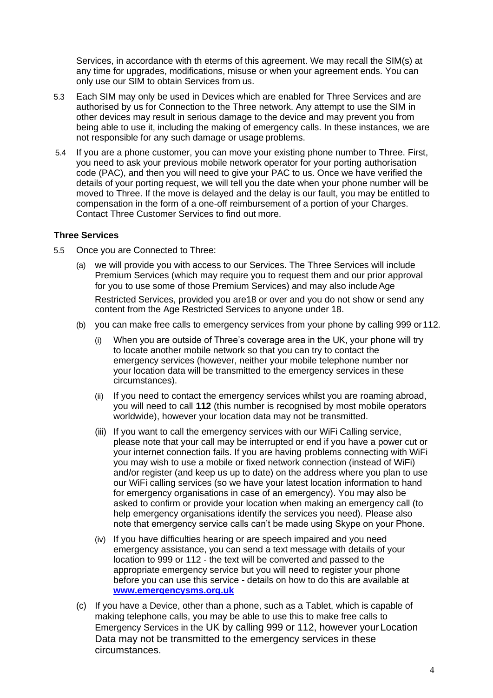Services, in accordance with th eterms of this agreement. We may recall the SIM(s) at any time for upgrades, modifications, misuse or when your agreement ends. You can only use our SIM to obtain Services from us.

- 5.3 Each SIM may only be used in Devices which are enabled for Three Services and are authorised by us for Connection to the Three network. Any attempt to use the SIM in other devices may result in serious damage to the device and may prevent you from being able to use it, including the making of emergency calls. In these instances, we are not responsible for any such damage or usage problems.
- 5.4 If you are a phone customer, you can move your existing phone number to Three. First, you need to ask your previous mobile network operator for your porting authorisation code (PAC), and then you will need to give your PAC to us. Once we have verified the details of your porting request, we will tell you the date when your phone number will be moved to Three. If the move is delayed and the delay is our fault, you may be entitled to compensation in the form of a one-off reimbursement of a portion of your Charges. Contact Three Customer Services to find out more.

#### **Three Services**

- 5.5 Once you are Connected to Three:
	- (a) we will provide you with access to our Services. The Three Services will include Premium Services (which may require you to request them and our prior approval for you to use some of those Premium Services) and may also include Age

Restricted Services, provided you are18 or over and you do not show or send any content from the Age Restricted Services to anyone under 18.

- (b) you can make free calls to emergency services from your phone by calling 999 or112.
	- (i) When you are outside of Three's coverage area in the UK, your phone will try to locate another mobile network so that you can try to contact the emergency services (however, neither your mobile telephone number nor your location data will be transmitted to the emergency services in these circumstances).
	- (ii) If you need to contact the emergency services whilst you are roaming abroad, you will need to call **112** (this number is recognised by most mobile operators worldwide), however your location data may not be transmitted.
	- (iii) If you want to call the emergency services with our WiFi Calling service, please note that your call may be interrupted or end if you have a power cut or your internet connection fails. If you are having problems connecting with WiFi you may wish to use a mobile or fixed network connection (instead of WiFi) and/or register (and keep us up to date) on the address where you plan to use our WiFi calling services (so we have your latest location information to hand for emergency organisations in case of an emergency). You may also be asked to confirm or provide your location when making an emergency call (to help emergency organisations identify the services you need). Please also note that emergency service calls can't be made using Skype on your Phone.
	- (iv) If you have difficulties hearing or are speech impaired and you need emergency assistance, you can send a text message with details of your location to 999 or 112 - the text will be converted and passed to the appropriate emergency service but you will need to register your phone before you can use this service - details on how to do this are available at **[www.emergencysms.org.uk](http://www.emergencysms.org.uk/)**
- (c) If you have a Device, other than a phone, such as a Tablet, which is capable of making telephone calls, you may be able to use this to make free calls to Emergency Services in the UK by calling 999 or 112, however yourLocation Data may not be transmitted to the emergency services in these circumstances.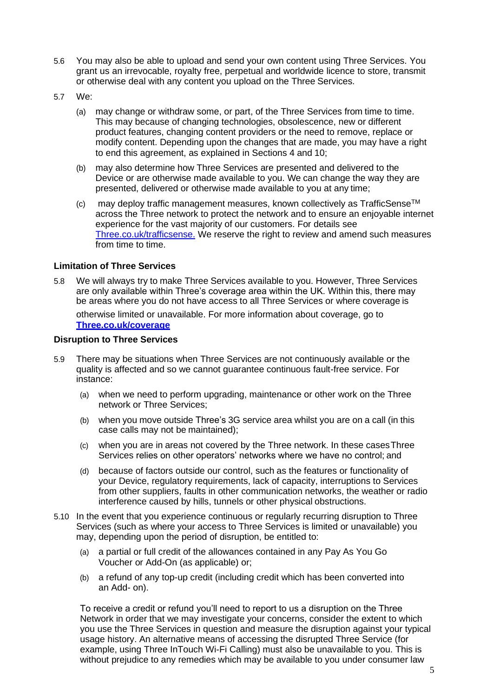- 5.6 You may also be able to upload and send your own content using Three Services. You grant us an irrevocable, royalty free, perpetual and worldwide licence to store, transmit or otherwise deal with any content you upload on the Three Services.
- 5.7 We:
	- (a) may change or withdraw some, or part, of the Three Services from time to time. This may because of changing technologies, obsolescence, new or different product features, changing content providers or the need to remove, replace or modify content. Depending upon the changes that are made, you may have a right to end this agreement, as explained in Sections 4 and 10;
	- (b) may also determine how Three Services are presented and delivered to the Device or are otherwise made available to you. We can change the way they are presented, delivered or otherwise made available to you at any time;
	- $(c)$  may deploy traffic management measures, known collectively as TrafficSense<sup>TM</sup> across the Three network to protect the network and to ensure an enjoyable internet experience for the vast majority of our customers. For details see [Three.co.uk/trafficsense.](http://three.co.uk/trafficsense) We reserve the right to review and amend such measures from time to time.

#### **Limitation of Three Services**

5.8 We will always try to make Three Services available to you. However, Three Services are only available within Three's coverage area within the UK. Within this, there may be areas where you do not have access to all Three Services or where coverage is

otherwise limited or unavailable. For more information about coverage, go to **[Three.co.uk/coverage](http://three.co.uk/coverage)**

#### **Disruption to Three Services**

- 5.9 There may be situations when Three Services are not continuously available or the quality is affected and so we cannot guarantee continuous fault-free service. For instance:
	- (a) when we need to perform upgrading, maintenance or other work on the Three network or Three Services;
	- (b) when you move outside Three's 3G service area whilst you are on a call (in this case calls may not be maintained);
	- (c) when you are in areas not covered by the Three network. In these casesThree Services relies on other operators' networks where we have no control; and
	- (d) because of factors outside our control, such as the features or functionality of your Device, regulatory requirements, lack of capacity, interruptions to Services from other suppliers, faults in other communication networks, the weather or radio interference caused by hills, tunnels or other physical obstructions.
- 5.10 In the event that you experience continuous or regularly recurring disruption to Three Services (such as where your access to Three Services is limited or unavailable) you may, depending upon the period of disruption, be entitled to:
	- (a) a partial or full credit of the allowances contained in any Pay As You Go Voucher or Add-On (as applicable) or;
	- (b) a refund of any top-up credit (including credit which has been converted into an Add- on).

To receive a credit or refund you'll need to report to us a disruption on the Three Network in order that we may investigate your concerns, consider the extent to which you use the Three Services in question and measure the disruption against your typical usage history. An alternative means of accessing the disrupted Three Service (for example, using Three InTouch Wi-Fi Calling) must also be unavailable to you. This is without prejudice to any remedies which may be available to you under consumer law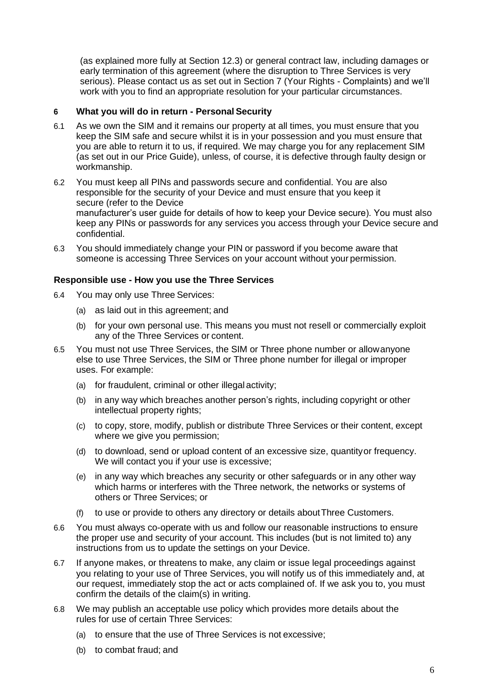(as explained more fully at Section 12.3) or general contract law, including damages or early termination of this agreement (where the disruption to Three Services is very serious). Please contact us as set out in Section 7 (Your Rights - Complaints) and we'll work with you to find an appropriate resolution for your particular circumstances.

## **6 What you will do in return - Personal Security**

- 6.1 As we own the SIM and it remains our property at all times, you must ensure that you keep the SIM safe and secure whilst it is in your possession and you must ensure that you are able to return it to us, if required. We may charge you for any replacement SIM (as set out in our Price Guide), unless, of course, it is defective through faulty design or workmanship.
- 6.2 You must keep all PINs and passwords secure and confidential. You are also responsible for the security of your Device and must ensure that you keep it secure (refer to the Device manufacturer's user guide for details of how to keep your Device secure). You must also keep any PINs or passwords for any services you access through your Device secure and confidential.
- 6.3 You should immediately change your PIN or password if you become aware that someone is accessing Three Services on your account without your permission.

## **Responsible use - How you use the Three Services**

- 6.4 You may only use Three Services:
	- (a) as laid out in this agreement; and
	- (b) for your own personal use. This means you must not resell or commercially exploit any of the Three Services or content.
- 6.5 You must not use Three Services, the SIM or Three phone number or allowanyone else to use Three Services, the SIM or Three phone number for illegal or improper uses. For example:
	- (a) for fraudulent, criminal or other illegal activity;
	- (b) in any way which breaches another person's rights, including copyright or other intellectual property rights;
	- (c) to copy, store, modify, publish or distribute Three Services or their content, except where we give you permission;
	- (d) to download, send or upload content of an excessive size, quantityor frequency. We will contact you if your use is excessive;
	- (e) in any way which breaches any security or other safeguards or in any other way which harms or interferes with the Three network, the networks or systems of others or Three Services; or
	- (f) to use or provide to others any directory or details aboutThree Customers.
- 6.6 You must always co-operate with us and follow our reasonable instructions to ensure the proper use and security of your account. This includes (but is not limited to) any instructions from us to update the settings on your Device.
- 6.7 If anyone makes, or threatens to make, any claim or issue legal proceedings against you relating to your use of Three Services, you will notify us of this immediately and, at our request, immediately stop the act or acts complained of. If we ask you to, you must confirm the details of the claim(s) in writing.
- 6.8 We may publish an acceptable use policy which provides more details about the rules for use of certain Three Services:
	- (a) to ensure that the use of Three Services is not excessive;
	- (b) to combat fraud; and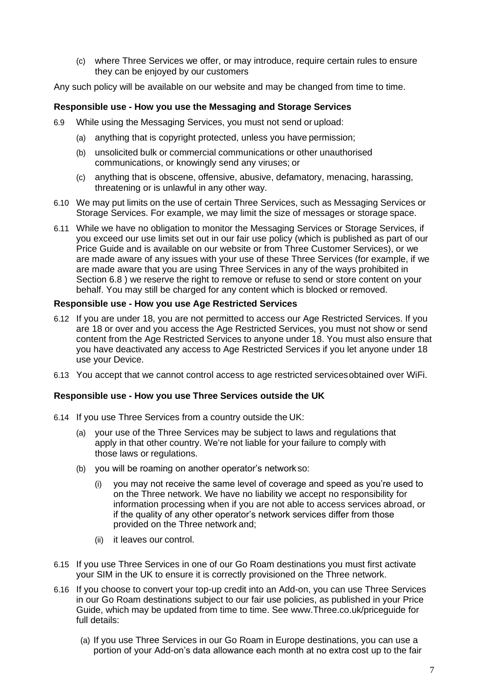(c) where Three Services we offer, or may introduce, require certain rules to ensure they can be enjoyed by our customers

Any such policy will be available on our website and may be changed from time to time.

#### **Responsible use - How you use the Messaging and Storage Services**

- 6.9 While using the Messaging Services, you must not send or upload:
	- (a) anything that is copyright protected, unless you have permission;
	- (b) unsolicited bulk or commercial communications or other unauthorised communications, or knowingly send any viruses; or
	- (c) anything that is obscene, offensive, abusive, defamatory, menacing, harassing, threatening or is unlawful in any other way.
- 6.10 We may put limits on the use of certain Three Services, such as Messaging Services or Storage Services. For example, we may limit the size of messages or storage space.
- 6.11 While we have no obligation to monitor the Messaging Services or Storage Services, if you exceed our use limits set out in our fair use policy (which is published as part of our Price Guide and is available on our website or from Three Customer Services), or we are made aware of any issues with your use of these Three Services (for example, if we are made aware that you are using Three Services in any of the ways prohibited in Section 6.8 ) we reserve the right to remove or refuse to send or store content on your behalf. You may still be charged for any content which is blocked or removed.

#### **Responsible use - How you use Age Restricted Services**

- 6.12 If you are under 18, you are not permitted to access our Age Restricted Services. If you are 18 or over and you access the Age Restricted Services, you must not show or send content from the Age Restricted Services to anyone under 18. You must also ensure that you have deactivated any access to Age Restricted Services if you let anyone under 18 use your Device.
- 6.13 You accept that we cannot control access to age restricted servicesobtained over WiFi.

#### **Responsible use - How you use Three Services outside the UK**

- 6.14 If you use Three Services from a country outside the UK:
	- (a) your use of the Three Services may be subject to laws and regulations that apply in that other country. We're not liable for your failure to comply with those laws or regulations.
	- (b) you will be roaming on another operator's networkso:
		- (i) you may not receive the same level of coverage and speed as you're used to on the Three network. We have no liability we accept no responsibility for information processing when if you are not able to access services abroad, or if the quality of any other operator's network services differ from those provided on the Three network and;
		- (ii) it leaves our control.
- 6.15 If you use Three Services in one of our Go Roam destinations you must first activate your SIM in the UK to ensure it is correctly provisioned on the Three network.
- 6.16 If you choose to convert your top-up credit into an Add-on, you can use Three Services in our Go Roam destinations subject to our fair use policies, as published in your Price Guide, which may be updated from time to time. See [www.Three.co.uk/priceguide f](http://www.three.co.uk/priceguide)or full details:
	- (a) If you use Three Services in our Go Roam in Europe destinations, you can use a portion of your Add-on's data allowance each month at no extra cost up to the fair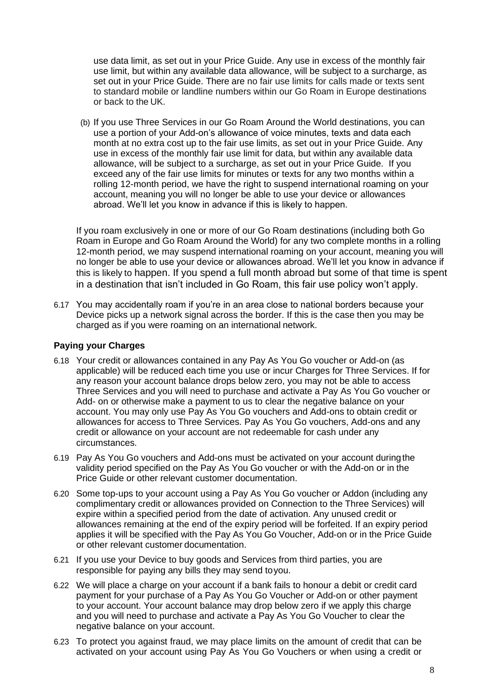use data limit, as set out in your Price Guide. Any use in excess of the monthly fair use limit, but within any available data allowance, will be subject to a surcharge, as set out in your Price Guide. There are no fair use limits for calls made or texts sent to standard mobile or landline numbers within our Go Roam in Europe destinations or back to the UK.

(b) If you use Three Services in our Go Roam Around the World destinations, you can use a portion of your Add-on's allowance of voice minutes, texts and data each month at no extra cost up to the fair use limits, as set out in your Price Guide. Any use in excess of the monthly fair use limit for data, but within any available data allowance, will be subject to a surcharge, as set out in your Price Guide. If you exceed any of the fair use limits for minutes or texts for any two months within a rolling 12-month period, we have the right to suspend international roaming on your account, meaning you will no longer be able to use your device or allowances abroad. We'll let you know in advance if this is likely to happen.

If you roam exclusively in one or more of our Go Roam destinations (including both Go Roam in Europe and Go Roam Around the World) for any two complete months in a rolling 12-month period, we may suspend international roaming on your account, meaning you will no longer be able to use your device or allowances abroad. We'll let you know in advance if this is likely to happen. If you spend a full month abroad but some of that time is spent in a destination that isn't included in Go Roam, this fair use policy won't apply.

6.17 You may accidentally roam if you're in an area close to national borders because your Device picks up a network signal across the border. If this is the case then you may be charged as if you were roaming on an international network.

## **Paying your Charges**

- 6.18 Your credit or allowances contained in any Pay As You Go voucher or Add-on (as applicable) will be reduced each time you use or incur Charges for Three Services. If for any reason your account balance drops below zero, you may not be able to access Three Services and you will need to purchase and activate a Pay As You Go voucher or Add- on or otherwise make a payment to us to clear the negative balance on your account. You may only use Pay As You Go vouchers and Add-ons to obtain credit or allowances for access to Three Services. Pay As You Go vouchers, Add-ons and any credit or allowance on your account are not redeemable for cash under any circumstances.
- 6.19 Pay As You Go vouchers and Add-ons must be activated on your account duringthe validity period specified on the Pay As You Go voucher or with the Add-on or in the Price Guide or other relevant customer documentation.
- 6.20 Some top-ups to your account using a Pay As You Go voucher or Addon (including any complimentary credit or allowances provided on Connection to the Three Services) will expire within a specified period from the date of activation. Any unused credit or allowances remaining at the end of the expiry period will be forfeited. If an expiry period applies it will be specified with the Pay As You Go Voucher, Add-on or in the Price Guide or other relevant customer documentation.
- 6.21 If you use your Device to buy goods and Services from third parties, you are responsible for paying any bills they may send toyou.
- 6.22 We will place a charge on your account if a bank fails to honour a debit or credit card payment for your purchase of a Pay As You Go Voucher or Add-on or other payment to your account. Your account balance may drop below zero if we apply this charge and you will need to purchase and activate a Pay As You Go Voucher to clear the negative balance on your account.
- 6.23 To protect you against fraud, we may place limits on the amount of credit that can be activated on your account using Pay As You Go Vouchers or when using a credit or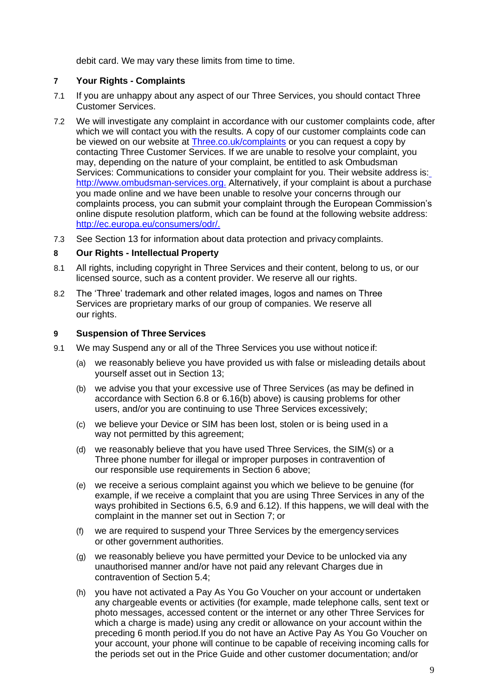debit card. We may vary these limits from time to time.

## **7 Your Rights - Complaints**

- 7.1 If you are unhappy about any aspect of our Three Services, you should contact Three Customer Services.
- 7.2 We will investigate any complaint in accordance with our customer complaints code, after which we will contact you with the results. A copy of our customer complaints code can be viewed on our website at [Three.co.uk/complaints](http://three.co.uk/contactus) or you can request a copy by contacting Three Customer Services. If we are unable to resolve your complaint, you may, depending on the nature of your complaint, be entitled to ask Ombudsman Services: Communications to consider your complaint for you. Their website address is: [http://www.ombudsman-services.org.](http://www.ombudsman-services.org/) Alternatively, if your complaint is about a purchase you made online and we have been unable to resolve your concerns through our complaints process, you can submit your complaint through the European Commission's online dispute resolution platform, which can be found at the following website address: [http://ec.europa.eu/consumers/odr/.](http://ec.europa.eu/consumers/odr/)
- 7.3 See Section 13 for information about data protection and privacy complaints.

#### **8 Our Rights - Intellectual Property**

- 8.1 All rights, including copyright in Three Services and their content, belong to us, or our licensed source, such as a content provider. We reserve all our rights.
- 8.2 The 'Three' trademark and other related images, logos and names on Three Services are proprietary marks of our group of companies. We reserve all our rights.

#### **9 Suspension of Three Services**

- 9.1 We may Suspend any or all of the Three Services you use without noticeif:
	- (a) we reasonably believe you have provided us with false or misleading details about yourself asset out in Section 13;
	- (b) we advise you that your excessive use of Three Services (as may be defined in accordance with Section 6.8 or 6.16(b) above) is causing problems for other users, and/or you are continuing to use Three Services excessively;
	- (c) we believe your Device or SIM has been lost, stolen or is being used in a way not permitted by this agreement;
	- (d) we reasonably believe that you have used Three Services, the SIM(s) or a Three phone number for illegal or improper purposes in contravention of our responsible use requirements in Section 6 above;
	- (e) we receive a serious complaint against you which we believe to be genuine (for example, if we receive a complaint that you are using Three Services in any of the ways prohibited in Sections 6.5, 6.9 and 6.12). If this happens, we will deal with the complaint in the manner set out in Section 7; or
	- (f) we are required to suspend your Three Services by the emergencyservices or other government authorities.
	- (g) we reasonably believe you have permitted your Device to be unlocked via any unauthorised manner and/or have not paid any relevant Charges due in contravention of Section 5.4;
	- (h) you have not activated a Pay As You Go Voucher on your account or undertaken any chargeable events or activities (for example, made telephone calls, sent text or photo messages, accessed content or the internet or any other Three Services for which a charge is made) using any credit or allowance on your account within the preceding 6 month period.If you do not have an Active Pay As You Go Voucher on your account, your phone will continue to be capable of receiving incoming calls for the periods set out in the Price Guide and other customer documentation; and/or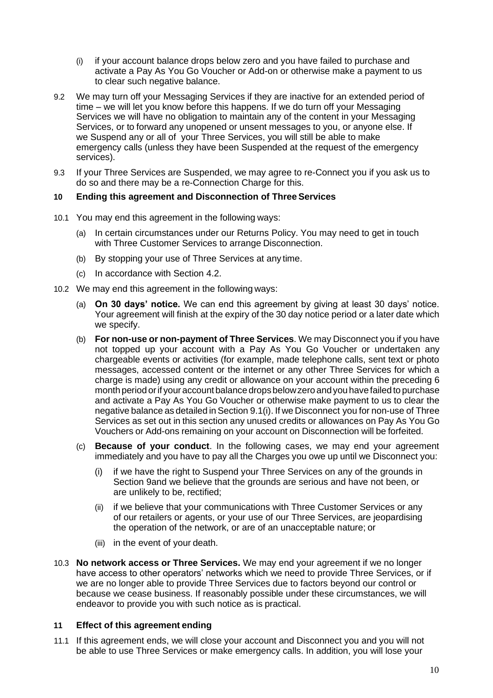- (i) if your account balance drops below zero and you have failed to purchase and activate a Pay As You Go Voucher or Add-on or otherwise make a payment to us to clear such negative balance.
- 9.2 We may turn off your Messaging Services if they are inactive for an extended period of time – we will let you know before this happens. If we do turn off your Messaging Services we will have no obligation to maintain any of the content in your Messaging Services, or to forward any unopened or unsent messages to you, or anyone else. If we Suspend any or all of your Three Services, you will still be able to make emergency calls (unless they have been Suspended at the request of the emergency services).
- 9.3 If your Three Services are Suspended, we may agree to re-Connect you if you ask us to do so and there may be a re-Connection Charge for this.

## **10 Ending this agreement and Disconnection of ThreeServices**

- 10.1 You may end this agreement in the following ways:
	- (a) In certain circumstances under our Returns Policy. You may need to get in touch with Three Customer Services to arrange Disconnection.
	- (b) By stopping your use of Three Services at any time.
	- (c) In accordance with Section 4.2.
- 10.2 We may end this agreement in the following ways:
	- (a) **On 30 days' notice.** We can end this agreement by giving at least 30 days' notice. Your agreement will finish at the expiry of the 30 day notice period or a later date which we specify.
	- (b) **For non-use or non-payment of Three Services**. We may Disconnect you if you have not topped up your account with a Pay As You Go Voucher or undertaken any chargeable events or activities (for example, made telephone calls, sent text or photo messages, accessed content or the internet or any other Three Services for which a charge is made) using any credit or allowance on your account within the preceding 6 month period orif youraccountbalance dropsbelowzero and youhave failedto purchase and activate a Pay As You Go Voucher or otherwise make payment to us to clear the negative balance as detailed in Section 9.1(i). If we Disconnect you for non-use of Three Services as set out in this section any unused credits or allowances on Pay As You Go Vouchers or Add-ons remaining on your account on Disconnection will be forfeited.
	- (c) **Because of your conduct**. In the following cases, we may end your agreement immediately and you have to pay all the Charges you owe up until we Disconnect you:
		- (i) if we have the right to Suspend your Three Services on any of the grounds in Section 9and we believe that the grounds are serious and have not been, or are unlikely to be, rectified;
		- (ii) if we believe that your communications with Three Customer Services or any of our retailers or agents, or your use of our Three Services, are jeopardising the operation of the network, or are of an unacceptable nature; or
		- (iii) in the event of your death.
- 10.3 **No network access or Three Services.** We may end your agreement if we no longer have access to other operators' networks which we need to provide Three Services, or if we are no longer able to provide Three Services due to factors beyond our control or because we cease business. If reasonably possible under these circumstances, we will endeavor to provide you with such notice as is practical.

#### **11 Effect of this agreement ending**

11.1 If this agreement ends, we will close your account and Disconnect you and you will not be able to use Three Services or make emergency calls. In addition, you will lose your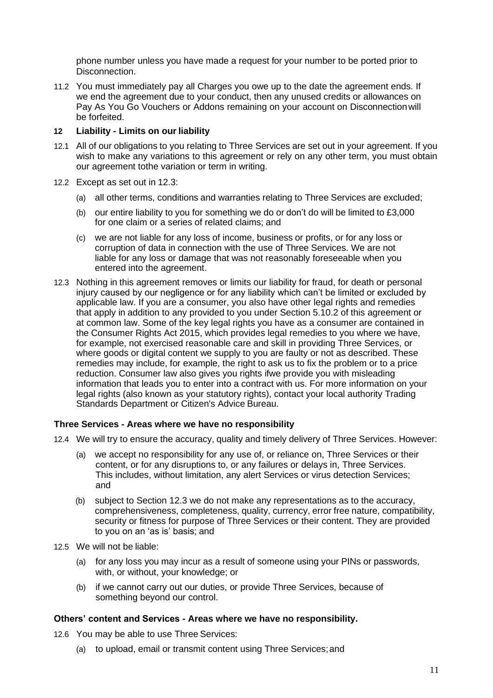phone number unless you have made a request for your number to be ported prior to Disconnection.

11.2 You must immediately pay all Charges you owe up to the date the agreement ends. If we end the agreement due to your conduct, then any unused credits or allowances on Pay As You Go Vouchers or Addons remaining on your account on Disconnectionwill be forfeited.

## **12 Liability - Limits on our liability**

- 12.1 All of our obligations to you relating to Three Services are set out in your agreement. If you wish to make any variations to this agreement or rely on any other term, you must obtain our agreement tothe variation or term in writing.
- 12.2 Except as set out in 12.3:
	- (a) all other terms, conditions and warranties relating to Three Services are excluded;
	- (b) our entire liability to you for something we do or don't do will be limited to £3,000 for one claim or a series of related claims; and
	- (c) we are not liable for any loss of income, business or profits, or for any loss or corruption of data in connection with the use of Three Services. We are not liable for any loss or damage that was not reasonably foreseeable when you entered into the agreement.
- 12.3 Nothing in this agreement removes or limits our liability for fraud, for death or personal injury caused by our negligence or for any liability which can't be limited or excluded by applicable law. If you are a consumer, you also have other legal rights and remedies that apply in addition to any provided to you under Section 5.10.2 of this agreement or at common law. Some of the key legal rights you have as a consumer are contained in the Consumer Rights Act 2015, which provides legal remedies to you where we have, for example, not exercised reasonable care and skill in providing Three Services, or where goods or digital content we supply to you are faulty or not as described. These remedies may include, for example, the right to ask us to fix the problem or to a price reduction. Consumer law also gives you rights ifwe provide you with misleading information that leads you to enter into a contract with us. For more information on your legal rights (also known as your statutory rights), contact your local authority Trading Standards Department or Citizen's Advice Bureau.

#### **Three Services - Areas where we have no responsibility**

- 12.4 We will try to ensure the accuracy, quality and timely delivery of Three Services. However:
	- (a) we accept no responsibility for any use of, or reliance on, Three Services or their content, or for any disruptions to, or any failures or delays in, Three Services. This includes, without limitation, any alert Services or virus detection Services; and
	- (b) subject to Section 12.3 we do not make any representations as to the accuracy, comprehensiveness, completeness, quality, currency, error free nature, compatibility, security or fitness for purpose of Three Services or their content. They are provided to you on an 'as is' basis; and
- 12.5 We will not be liable:
	- (a) for any loss you may incur as a result of someone using your PINs or passwords, with, or without, your knowledge; or
	- (b) if we cannot carry out our duties, or provide Three Services, because of something beyond our control.

#### **Others' content and Services - Areas where we have no responsibility.**

- 12.6 You may be able to use Three Services:
	- (a) to upload, email or transmit content using Three Services;and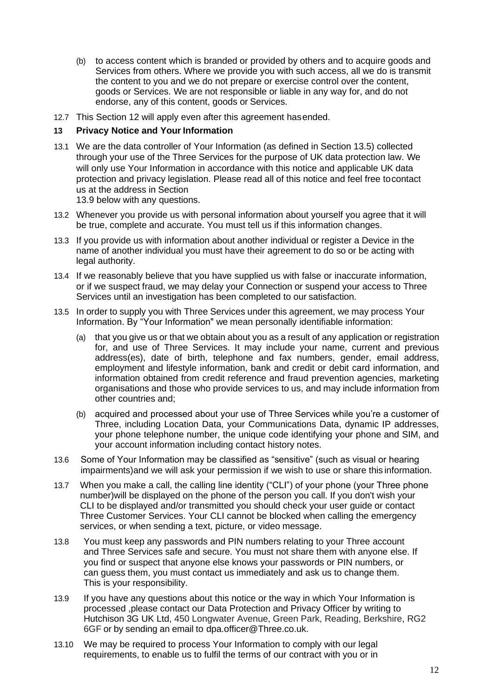- (b) to access content which is branded or provided by others and to acquire goods and Services from others. Where we provide you with such access, all we do is transmit the content to you and we do not prepare or exercise control over the content, goods or Services. We are not responsible or liable in any way for, and do not endorse, any of this content, goods or Services.
- 12.7 This Section 12 will apply even after this agreement hasended.

#### **13 Privacy Notice and Your Information**

13.1 We are the data controller of Your Information (as defined in Section 13.5) collected through your use of the Three Services for the purpose of UK data protection law. We will only use Your Information in accordance with this notice and applicable UK data protection and privacy legislation. Please read all of this notice and feel free tocontact us at the address in Section

13.9 below with any questions.

- 13.2 Whenever you provide us with personal information about yourself you agree that it will be true, complete and accurate. You must tell us if this information changes.
- 13.3 If you provide us with information about another individual or register a Device in the name of another individual you must have their agreement to do so or be acting with legal authority.
- 13.4 If we reasonably believe that you have supplied us with false or inaccurate information, or if we suspect fraud, we may delay your Connection or suspend your access to Three Services until an investigation has been completed to our satisfaction.
- 13.5 In order to supply you with Three Services under this agreement, we may process Your Information. By "Your Information" we mean personally identifiable information:
	- (a) that you give us or that we obtain about you as a result of any application or registration for, and use of Three Services. It may include your name, current and previous address(es), date of birth, telephone and fax numbers, gender, email address, employment and lifestyle information, bank and credit or debit card information, and information obtained from credit reference and fraud prevention agencies, marketing organisations and those who provide services to us, and may include information from other countries and;
	- (b) acquired and processed about your use of Three Services while you're a customer of Three, including Location Data, your Communications Data, dynamic IP addresses, your phone telephone number, the unique code identifying your phone and SIM, and your account information including contact history notes.
- 13.6 Some of Your Information may be classified as "sensitive" (such as visual or hearing impairments)and we will ask your permission if we wish to use or share this information.
- 13.7 When you make a call, the calling line identity ("CLI") of your phone (your Three phone number)will be displayed on the phone of the person you call. If you don't wish your CLI to be displayed and/or transmitted you should check your user guide or contact Three Customer Services. Your CLI cannot be blocked when calling the emergency services, or when sending a text, picture, or video message.
- 13.8 You must keep any passwords and PIN numbers relating to your Three account and Three Services safe and secure. You must not share them with anyone else. If you find or suspect that anyone else knows your passwords or PIN numbers, or can guess them, you must contact us immediately and ask us to change them. This is your responsibility.
- 13.9 If you have any questions about this notice or the way in which Your Information is processed ,please contact our Data Protection and Privacy Officer by writing to Hutchison 3G UK Ltd, 450 Longwater Avenue, Green Park, Reading, Berkshire, RG2 6GF or by sending an email to dp[a.officer@Three.co.uk.](mailto:dpa.officer@Three.co.uk)
- 13.10 We may be required to process Your Information to comply with our legal requirements, to enable us to fulfil the terms of our contract with you or in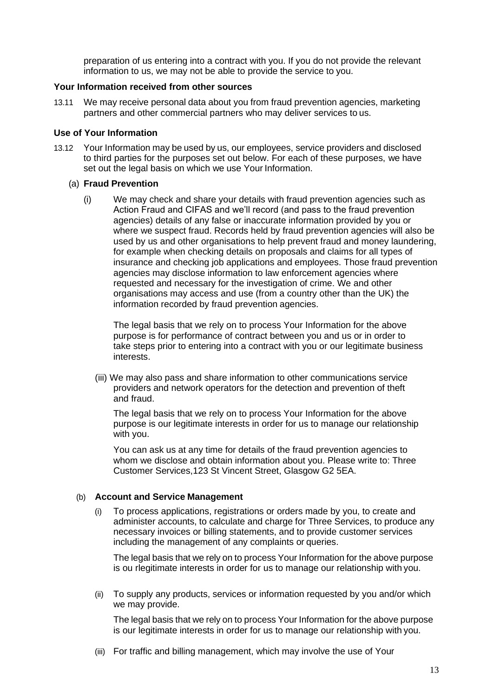preparation of us entering into a contract with you. If you do not provide the relevant information to us, we may not be able to provide the service to you.

#### **Your Information received from other sources**

13.11 We may receive personal data about you from fraud prevention agencies, marketing partners and other commercial partners who may deliver services to us.

#### **Use of Your Information**

13.12 Your Information may be used by us, our employees, service providers and disclosed to third parties for the purposes set out below. For each of these purposes, we have set out the legal basis on which we use Your Information.

#### (a) **Fraud Prevention**

(i) We may check and share your details with fraud prevention agencies such as Action Fraud and CIFAS and we'll record (and pass to the fraud prevention agencies) details of any false or inaccurate information provided by you or where we suspect fraud. Records held by fraud prevention agencies will also be used by us and other organisations to help prevent fraud and money laundering, for example when checking details on proposals and claims for all types of insurance and checking job applications and employees. Those fraud prevention agencies may disclose information to law enforcement agencies where requested and necessary for the investigation of crime. We and other organisations may access and use (from a country other than the UK) the information recorded by fraud prevention agencies.

The legal basis that we rely on to process Your Information for the above purpose is for performance of contract between you and us or in order to take steps prior to entering into a contract with you or our legitimate business interests.

(iii) We may also pass and share information to other communications service providers and network operators for the detection and prevention of theft and fraud.

The legal basis that we rely on to process Your Information for the above purpose is our legitimate interests in order for us to manage our relationship with you.

You can ask us at any time for details of the fraud prevention agencies to whom we disclose and obtain information about you. Please write to: Three Customer Services,123 St Vincent Street, Glasgow G2 5EA.

#### (b) **Account and Service Management**

(i) To process applications, registrations or orders made by you, to create and administer accounts, to calculate and charge for Three Services, to produce any necessary invoices or billing statements, and to provide customer services including the management of any complaints or queries.

The legal basis that we rely on to process Your Information for the above purpose is ou rlegitimate interests in order for us to manage our relationship with you.

(ii) To supply any products, services or information requested by you and/or which we may provide.

The legal basis that we rely on to process Your Information for the above purpose is our legitimate interests in order for us to manage our relationship with you.

(iii) For traffic and billing management, which may involve the use of Your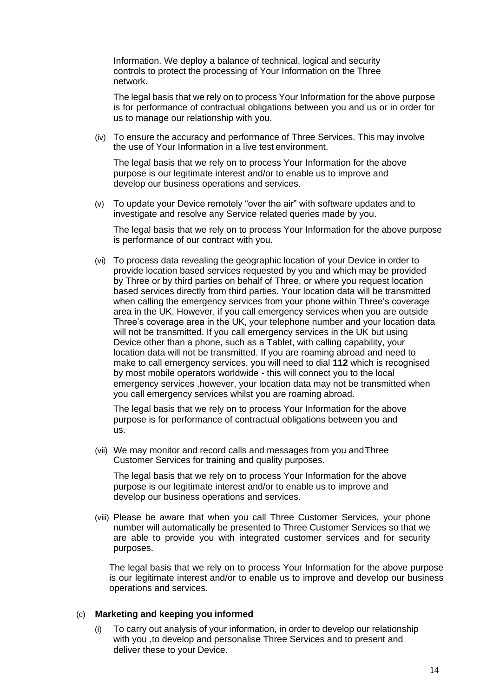Information. We deploy a balance of technical, logical and security controls to protect the processing of Your Information on the Three network.

The legal basis that we rely on to process Your Information for the above purpose is for performance of contractual obligations between you and us or in order for us to manage our relationship with you.

(iv) To ensure the accuracy and performance of Three Services. This may involve the use of Your Information in a live test environment.

The legal basis that we rely on to process Your Information for the above purpose is our legitimate interest and/or to enable us to improve and develop our business operations and services.

(v) To update your Device remotely "over the air" with software updates and to investigate and resolve any Service related queries made by you.

The legal basis that we rely on to process Your Information for the above purpose is performance of our contract with you.

(vi) To process data revealing the geographic location of your Device in order to provide location based services requested by you and which may be provided by Three or by third parties on behalf of Three, or where you request location based services directly from third parties. Your location data will be transmitted when calling the emergency services from your phone within Three's coverage area in the UK. However, if you call emergency services when you are outside Three's coverage area in the UK, your telephone number and your location data will not be transmitted. If you call emergency services in the UK but using Device other than a phone, such as a Tablet, with calling capability, your location data will not be transmitted. If you are roaming abroad and need to make to call emergency services, you will need to dial **112** which is recognised by most mobile operators worldwide - this will connect you to the local emergency services ,however, your location data may not be transmitted when you call emergency services whilst you are roaming abroad.

The legal basis that we rely on to process Your Information for the above purpose is for performance of contractual obligations between you and us.

(vii) We may monitor and record calls and messages from you andThree Customer Services for training and quality purposes.

The legal basis that we rely on to process Your Information for the above purpose is our legitimate interest and/or to enable us to improve and develop our business operations and services.

(viii) Please be aware that when you call Three Customer Services, your phone number will automatically be presented to Three Customer Services so that we are able to provide you with integrated customer services and for security purposes.

The legal basis that we rely on to process Your Information for the above purpose is our legitimate interest and/or to enable us to improve and develop our business operations and services.

#### (c) **Marketing and keeping you informed**

(i) To carry out analysis of your information, in order to develop our relationship with you ,to develop and personalise Three Services and to present and deliver these to your Device.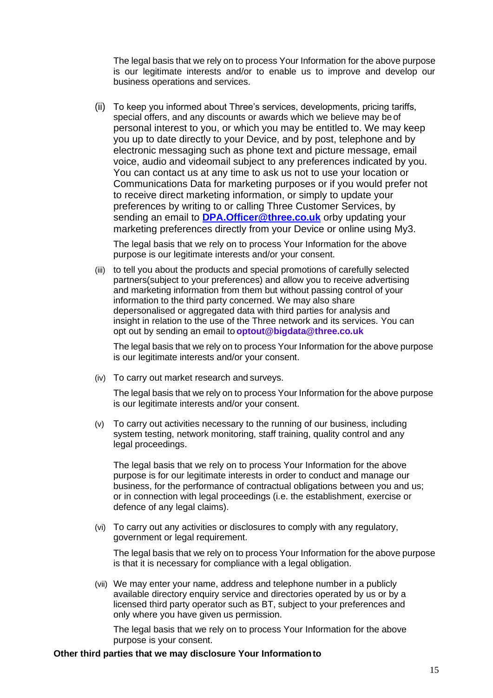The legal basis that we rely on to process Your Information for the above purpose is our legitimate interests and/or to enable us to improve and develop our business operations and services.

(ii) To keep you informed about Three's services, developments, pricing tariffs, special offers, and any discounts or awards which we believe may be of personal interest to you, or which you may be entitled to. We may keep you up to date directly to your Device, and by post, telephone and by electronic messaging such as phone text and picture message, email voice, audio and videomail subject to any preferences indicated by you. You can contact us at any time to ask us not to use your location or Communications Data for marketing purposes or if you would prefer not to receive direct marketing information, or simply to update your preferences by writing to or calling Three Customer Services, by sending an email to **[DPA.Officer@three.co.uk](mailto:preferences@3mail.com)** orby updating your marketing preferences directly from your Device or online using My3.

The legal basis that we rely on to process Your Information for the above purpose is our legitimate interests and/or your consent.

(iii) to tell you about the products and special promotions of carefully selected partners(subject to your preferences) and allow you to receive advertising and marketing information from them but without passing control of your information to the third party concerned. We may also share depersonalised or aggregated data with third parties for analysis and insight in relation to the use of the Three network and its services. You can opt out by sending an email to **[optout@bigdata@three.co.uk](mailto:optout@bigdata@three.co.uk)**

The legal basis that we rely on to process Your Information for the above purpose is our legitimate interests and/or your consent.

(iv) To carry out market research and surveys.

The legal basis that we rely on to process Your Information for the above purpose is our legitimate interests and/or your consent.

(v) To carry out activities necessary to the running of our business, including system testing, network monitoring, staff training, quality control and any legal proceedings.

The legal basis that we rely on to process Your Information for the above purpose is for our legitimate interests in order to conduct and manage our business, for the performance of contractual obligations between you and us; or in connection with legal proceedings (i.e. the establishment, exercise or defence of any legal claims).

(vi) To carry out any activities or disclosures to comply with any regulatory, government or legal requirement.

The legal basis that we rely on to process Your Information for the above purpose is that it is necessary for compliance with a legal obligation.

(vii) We may enter your name, address and telephone number in a publicly available directory enquiry service and directories operated by us or by a licensed third party operator such as BT, subject to your preferences and only where you have given us permission.

The legal basis that we rely on to process Your Information for the above purpose is your consent.

#### **Other third parties that we may disclosure Your Informationto**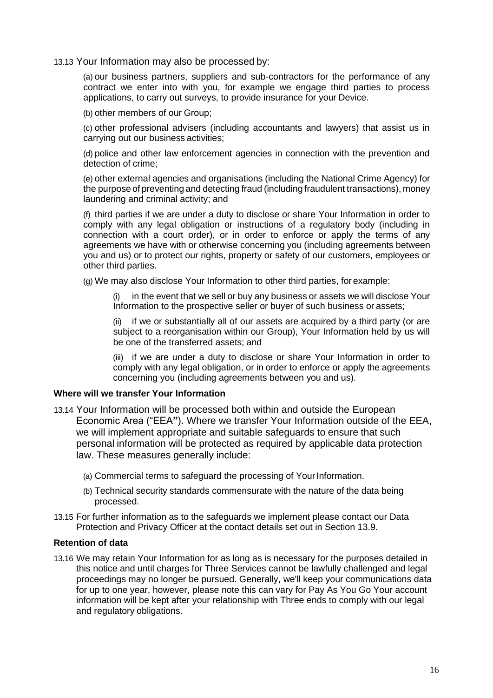13.13 Your Information may also be processed by:

(a) our business partners, suppliers and sub-contractors for the performance of any contract we enter into with you, for example we engage third parties to process applications, to carry out surveys, to provide insurance for your Device.

(b) other members of our Group;

(c) other professional advisers (including accountants and lawyers) that assist us in carrying out our business activities;

(d) police and other law enforcement agencies in connection with the prevention and detection of crime;

(e) other external agencies and organisations (including the National Crime Agency) for the purpose of preventing and detecting fraud (including fraudulent transactions), money laundering and criminal activity; and

(f) third parties if we are under a duty to disclose or share Your Information in order to comply with any legal obligation or instructions of a regulatory body (including in connection with a court order), or in order to enforce or apply the terms of any agreements we have with or otherwise concerning you (including agreements between you and us) or to protect our rights, property or safety of our customers, employees or other third parties.

(g) We may also disclose Your Information to other third parties, for example:

(i) in the event that we sell or buy any business or assets we will disclose Your Information to the prospective seller or buyer of such business or assets;

(ii) if we or substantially all of our assets are acquired by a third party (or are subject to a reorganisation within our Group), Your Information held by us will be one of the transferred assets; and

(iii) if we are under a duty to disclose or share Your Information in order to comply with any legal obligation, or in order to enforce or apply the agreements concerning you (including agreements between you and us).

#### **Where will we transfer Your Information**

- 13.14 Your Information will be processed both within and outside the European Economic Area ("EEA**"**). Where we transfer Your Information outside of the EEA, we will implement appropriate and suitable safeguards to ensure that such personal information will be protected as required by applicable data protection law. These measures generally include:
	- (a) Commercial terms to safeguard the processing of Your Information.
	- (b) Technical security standards commensurate with the nature of the data being processed.
- 13.15 For further information as to the safeguards we implement please contact our Data Protection and Privacy Officer at the contact details set out in Section 13.9.

#### **Retention of data**

13.16 We may retain Your Information for as long as is necessary for the purposes detailed in this notice and until charges for Three Services cannot be lawfully challenged and legal proceedings may no longer be pursued. Generally, we'll keep your communications data for up to one year, however, please note this can vary for Pay As You Go Your account information will be kept after your relationship with Three ends to comply with our legal and regulatory obligations.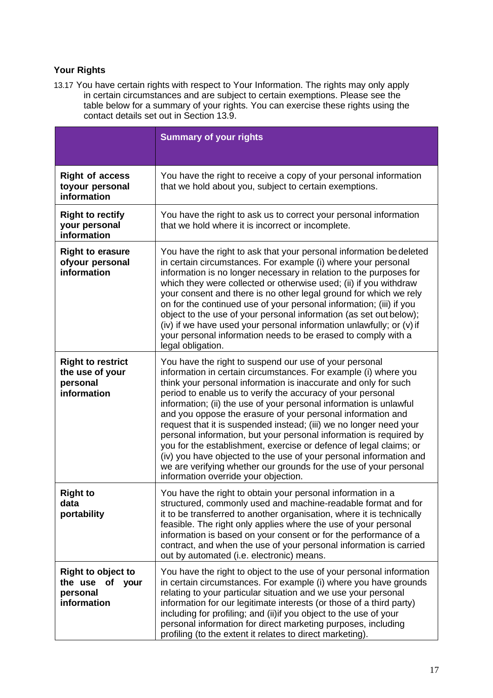# **Your Rights**

13.17 You have certain rights with respect to Your Information. The rights may only apply in certain circumstances and are subject to certain exemptions. Please see the table below for a summary of your rights. You can exercise these rights using the contact details set out in Section 13.9.

|                                                                         | <b>Summary of your rights</b>                                                                                                                                                                                                                                                                                                                                                                                                                                                                                                                                                                                                                                                                                                                                                                         |
|-------------------------------------------------------------------------|-------------------------------------------------------------------------------------------------------------------------------------------------------------------------------------------------------------------------------------------------------------------------------------------------------------------------------------------------------------------------------------------------------------------------------------------------------------------------------------------------------------------------------------------------------------------------------------------------------------------------------------------------------------------------------------------------------------------------------------------------------------------------------------------------------|
| <b>Right of access</b><br>toyour personal<br>information                | You have the right to receive a copy of your personal information<br>that we hold about you, subject to certain exemptions.                                                                                                                                                                                                                                                                                                                                                                                                                                                                                                                                                                                                                                                                           |
| <b>Right to rectify</b><br>your personal<br>information                 | You have the right to ask us to correct your personal information<br>that we hold where it is incorrect or incomplete.                                                                                                                                                                                                                                                                                                                                                                                                                                                                                                                                                                                                                                                                                |
| <b>Right to erasure</b><br>ofyour personal<br>information               | You have the right to ask that your personal information be deleted<br>in certain circumstances. For example (i) where your personal<br>information is no longer necessary in relation to the purposes for<br>which they were collected or otherwise used; (ii) if you withdraw<br>your consent and there is no other legal ground for which we rely<br>on for the continued use of your personal information; (iii) if you<br>object to the use of your personal information (as set out below);<br>(iv) if we have used your personal information unlawfully; or (v) if<br>your personal information needs to be erased to comply with a<br>legal obligation.                                                                                                                                       |
| <b>Right to restrict</b><br>the use of your<br>personal<br>information  | You have the right to suspend our use of your personal<br>information in certain circumstances. For example (i) where you<br>think your personal information is inaccurate and only for such<br>period to enable us to verify the accuracy of your personal<br>information; (ii) the use of your personal information is unlawful<br>and you oppose the erasure of your personal information and<br>request that it is suspended instead; (iii) we no longer need your<br>personal information, but your personal information is required by<br>you for the establishment, exercise or defence of legal claims; or<br>(iv) you have objected to the use of your personal information and<br>we are verifying whether our grounds for the use of your personal<br>information override your objection. |
| <b>Right to</b><br>data<br>portability                                  | You have the right to obtain your personal information in a<br>structured, commonly used and machine-readable format and for<br>it to be transferred to another organisation, where it is technically<br>feasible. The right only applies where the use of your personal<br>information is based on your consent or for the performance of a<br>contract, and when the use of your personal information is carried<br>out by automated (i.e. electronic) means.                                                                                                                                                                                                                                                                                                                                       |
| <b>Right to object to</b><br>the use of your<br>personal<br>information | You have the right to object to the use of your personal information<br>in certain circumstances. For example (i) where you have grounds<br>relating to your particular situation and we use your personal<br>information for our legitimate interests (or those of a third party)<br>including for profiling; and (ii) if you object to the use of your<br>personal information for direct marketing purposes, including<br>profiling (to the extent it relates to direct marketing).                                                                                                                                                                                                                                                                                                                |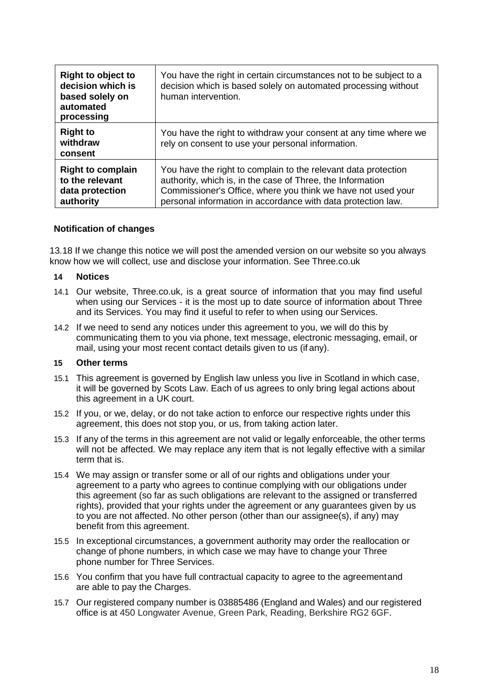| <b>Right to object to</b><br>decision which is<br>based solely on<br>automated<br>processing | You have the right in certain circumstances not to be subject to a<br>decision which is based solely on automated processing without<br>human intervention.                                                                                                  |
|----------------------------------------------------------------------------------------------|--------------------------------------------------------------------------------------------------------------------------------------------------------------------------------------------------------------------------------------------------------------|
| <b>Right to</b><br>withdraw<br>consent                                                       | You have the right to withdraw your consent at any time where we<br>rely on consent to use your personal information.                                                                                                                                        |
| <b>Right to complain</b><br>to the relevant<br>data protection<br>authority                  | You have the right to complain to the relevant data protection<br>authority, which is, in the case of Three, the Information<br>Commissioner's Office, where you think we have not used your<br>personal information in accordance with data protection law. |

#### **Notification of changes**

13.18 If we change this notice we will post the amended version on our website so you always know how we will collect, use and disclose your information. See Three.co.uk

### **14 Notices**

- 14.1 Our website, Three.co.uk, is a great source of information that you may find useful when using our Services - it is the most up to date source of information about Three and its Services. You may find it useful to refer to when using our Services.
- 14.2 If we need to send any notices under this agreement to you, we will do this by communicating them to you via phone, text message, electronic messaging, email, or mail, using your most recent contact details given to us (if any).

#### **15 Other terms**

- 15.1 This agreement is governed by English law unless you live in Scotland in which case, it will be governed by Scots Law. Each of us agrees to only bring legal actions about this agreement in a UK court.
- 15.2 If you, or we, delay, or do not take action to enforce our respective rights under this agreement, this does not stop you, or us, from taking action later.
- 15.3 If any of the terms in this agreement are not valid or legally enforceable, the other terms will not be affected. We may replace any item that is not legally effective with a similar term that is.
- 15.4 We may assign or transfer some or all of our rights and obligations under your agreement to a party who agrees to continue complying with our obligations under this agreement (so far as such obligations are relevant to the assigned or transferred rights), provided that your rights under the agreement or any guarantees given by us to you are not affected. No other person (other than our assignee(s), if any) may benefit from this agreement.
- 15.5 In exceptional circumstances, a government authority may order the reallocation or change of phone numbers, in which case we may have to change your Three phone number for Three Services.
- 15.6 You confirm that you have full contractual capacity to agree to the agreementand are able to pay the Charges.
- 15.7 Our registered company number is 03885486 (England and Wales) and our registered office is at 450 Longwater Avenue, Green Park, Reading, Berkshire RG2 6GF.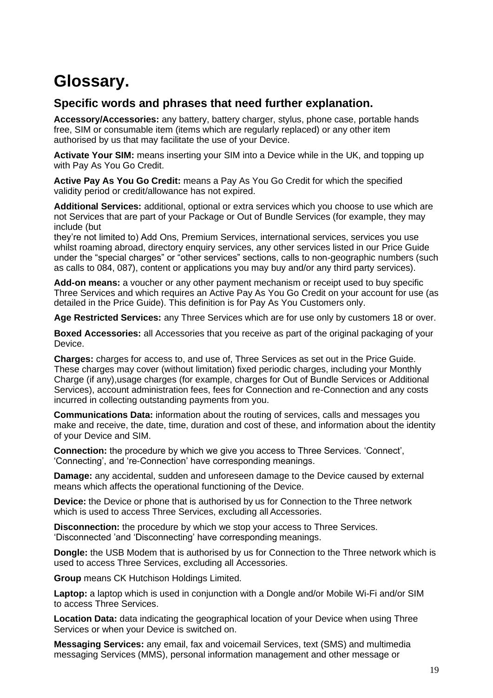# **Glossary.**

## **Specific words and phrases that need further explanation.**

**Accessory/Accessories:** any battery, battery charger, stylus, phone case, portable hands free, SIM or consumable item (items which are regularly replaced) or any other item authorised by us that may facilitate the use of your Device.

**Activate Your SIM:** means inserting your SIM into a Device while in the UK, and topping up with Pay As You Go Credit.

**Active Pay As You Go Credit:** means a Pay As You Go Credit for which the specified validity period or credit/allowance has not expired.

**Additional Services:** additional, optional or extra services which you choose to use which are not Services that are part of your Package or Out of Bundle Services (for example, they may include (but

they're not limited to) Add Ons, Premium Services, international services, services you use whilst roaming abroad, directory enquiry services, any other services listed in our Price Guide under the "special charges" or "other services" sections, calls to non-geographic numbers (such as calls to 084, 087), content or applications you may buy and/or any third party services).

**Add-on means:** a voucher or any other payment mechanism or receipt used to buy specific Three Services and which requires an Active Pay As You Go Credit on your account for use (as detailed in the Price Guide). This definition is for Pay As You Customers only.

**Age Restricted Services:** any Three Services which are for use only by customers 18 or over.

**Boxed Accessories:** all Accessories that you receive as part of the original packaging of your Device.

**Charges:** charges for access to, and use of, Three Services as set out in the Price Guide. These charges may cover (without limitation) fixed periodic charges, including your Monthly Charge (if any),usage charges (for example, charges for Out of Bundle Services or Additional Services), account administration fees, fees for Connection and re-Connection and any costs incurred in collecting outstanding payments from you.

**Communications Data:** information about the routing of services, calls and messages you make and receive, the date, time, duration and cost of these, and information about the identity of your Device and SIM.

**Connection:** the procedure by which we give you access to Three Services. 'Connect', 'Connecting', and 're-Connection' have corresponding meanings.

**Damage:** any accidental, sudden and unforeseen damage to the Device caused by external means which affects the operational functioning of the Device.

**Device:** the Device or phone that is authorised by us for Connection to the Three network which is used to access Three Services, excluding all Accessories.

**Disconnection:** the procedure by which we stop your access to Three Services. 'Disconnected 'and 'Disconnecting' have corresponding meanings.

**Dongle:** the USB Modem that is authorised by us for Connection to the Three network which is used to access Three Services, excluding all Accessories.

**Group** means CK Hutchison Holdings Limited.

Laptop: a laptop which is used in conjunction with a Dongle and/or Mobile Wi-Fi and/or SIM to access Three Services.

**Location Data:** data indicating the geographical location of your Device when using Three Services or when your Device is switched on.

**Messaging Services:** any email, fax and voicemail Services, text (SMS) and multimedia messaging Services (MMS), personal information management and other message or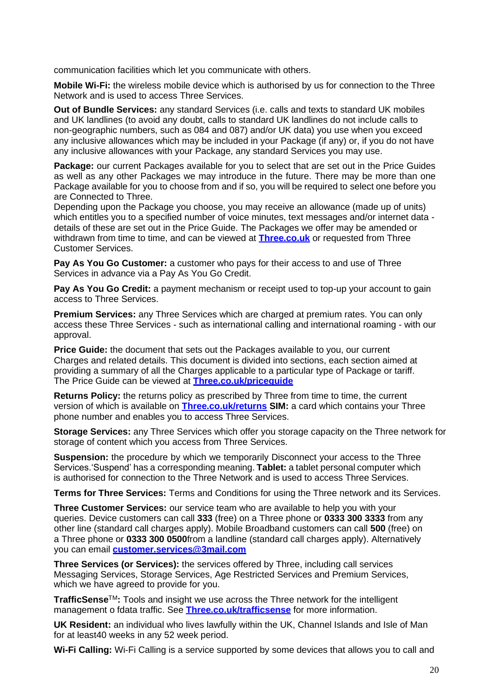communication facilities which let you communicate with others.

**Mobile Wi-Fi:** the wireless mobile device which is authorised by us for connection to the Three Network and is used to access Three Services.

**Out of Bundle Services:** any standard Services (i.e. calls and texts to standard UK mobiles and UK landlines (to avoid any doubt, calls to standard UK landlines do not include calls to non-geographic numbers, such as 084 and 087) and/or UK data) you use when you exceed any inclusive allowances which may be included in your Package (if any) or, if you do not have any inclusive allowances with your Package, any standard Services you may use.

Package: our current Packages available for you to select that are set out in the Price Guides as well as any other Packages we may introduce in the future. There may be more than one Package available for you to choose from and if so, you will be required to select one before you are Connected to Three.

Depending upon the Package you choose, you may receive an allowance (made up of units) which entitles you to a specified number of voice minutes, text messages and/or internet data details of these are set out in the Price Guide. The Packages we offer may be amended or withdrawn from time to time, and can be viewed at **[Three.co.uk](http://three.co.uk/)** or requested from Three Customer Services.

**Pay As You Go Customer:** a customer who pays for their access to and use of Three Services in advance via a Pay As You Go Credit.

**Pay As You Go Credit:** a payment mechanism or receipt used to top-up your account to gain access to Three Services.

**Premium Services:** any Three Services which are charged at premium rates. You can only access these Three Services - such as international calling and international roaming - with our approval.

**Price Guide:** the document that sets out the Packages available to you, our current Charges and related details. This document is divided into sections, each section aimed at providing a summary of all the Charges applicable to a particular type of Package or tariff. The Price Guide can be viewed at **[Three.co.uk/priceguide](http://three.co.uk/priceguide)**

**Returns Policy:** the returns policy as prescribed by Three from time to time, the current version of which is available on **[Three.co.uk/returns](http://three.co.uk/returns) SIM:** a card which contains your Three phone number and enables you to access Three Services.

**Storage Services:** any Three Services which offer you storage capacity on the Three network for storage of content which you access from Three Services.

**Suspension:** the procedure by which we temporarily Disconnect your access to the Three Services.'Suspend' has a corresponding meaning. **Tablet:** a tablet personal computer which is authorised for connection to the Three Network and is used to access Three Services.

**Terms for Three Services:** Terms and Conditions for using the Three network and its Services.

**Three Customer Services:** our service team who are available to help you with your queries. Device customers can call **333** (free) on a Three phone or **0333 300 3333** from any other line (standard call charges apply). Mobile Broadband customers can call **500** (free) on a Three phone or **0333 300 0500**from a landline (standard call charges apply). Alternatively you can email **[customer.services@3mail.com](mailto:customer.services@3mail.com)**

**Three Services (or Services):** the services offered by Three, including call services Messaging Services, Storage Services, Age Restricted Services and Premium Services, which we have agreed to provide for you.

**TrafficSense**TM**:** Tools and insight we use across the Three network for the intelligent management o fdata traffic. See **[Three.co.uk/trafficsense](http://three.co.uk/trafficsense)** for more information.

**UK Resident:** an individual who lives lawfully within the UK, Channel Islands and Isle of Man for at least40 weeks in any 52 week period.

**Wi-Fi Calling:** Wi-Fi Calling is a service supported by some devices that allows you to call and